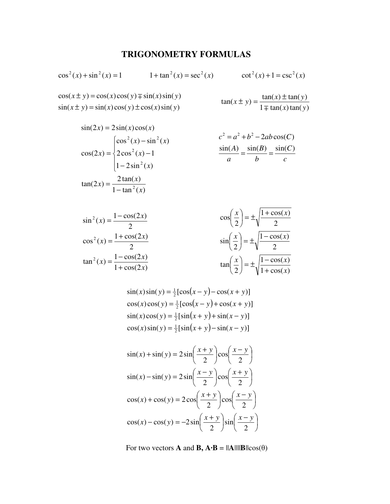## **TRIGONOMETRY FORMULAS**

$$
\cos^{2}(x) + \sin^{2}(x) = 1 \qquad 1 + \tan^{2}(x) = \sec^{2}(x) \qquad \cot^{2}(x) + 1 = \csc^{2}(x)
$$
  
\n
$$
\cos(x \pm y) = \cos(x)\cos(y) \mp \sin(x)\sin(y) \qquad \tan(x \pm y) = \frac{\tan(x) \pm \tan(y)}{1 \mp \tan(x)\tan(y)}
$$

$$
\sin(2x) = 2\sin(x)\cos(x)
$$
  
\n
$$
\cos(2x) = \begin{cases}\n\cos^{2}(x) - \sin^{2}(x) & c^{2} = a^{2} + b^{2} - 2ab\cos(C) \\
2\cos^{2}(x) - 1 & \frac{\sin(A)}{a} = \frac{\sin(B)}{b} = \frac{\sin(C)}{c}\n\end{cases}
$$
  
\n
$$
\tan(2x) = \frac{2\tan(x)}{1 - \tan^{2}(x)}
$$

$$
\sin^{2}(x) = \frac{1 - \cos(2x)}{2}
$$
\n
$$
\cos^{2}(x) = \frac{1 + \cos(2x)}{2}
$$
\n
$$
\cos^{2}(x) = \frac{1 + \cos(2x)}{2}
$$
\n
$$
\cos^{2}(x) = \frac{1 - \cos(2x)}{2}
$$
\n
$$
\sin\left(\frac{x}{2}\right) = \pm\sqrt{\frac{1 - \cos(x)}{2}}
$$
\n
$$
\tan\left(\frac{x}{2}\right) = \pm\sqrt{\frac{1 - \cos(x)}{1 + \cos(x)}}
$$

$$
\sin(x)\sin(y) = \frac{1}{2}[\cos(x - y) - \cos(x + y)]
$$
  
\n
$$
\cos(x)\cos(y) = \frac{1}{2}[\cos(x - y) + \cos(x + y)]
$$
  
\n
$$
\sin(x)\cos(y) = \frac{1}{2}[\sin(x + y) + \sin(x - y)]
$$
  
\n
$$
\cos(x)\sin(y) = \frac{1}{2}[\sin(x + y) - \sin(x - y)]
$$

$$
\sin(x) + \sin(y) = 2\sin\left(\frac{x+y}{2}\right)\cos\left(\frac{x-y}{2}\right)
$$

$$
\sin(x) - \sin(y) = 2\sin\left(\frac{x-y}{2}\right)\cos\left(\frac{x+y}{2}\right)
$$

$$
\cos(x) + \cos(y) = 2\cos\left(\frac{x+y}{2}\right)\cos\left(\frac{x-y}{2}\right)
$$

$$
\cos(x) - \cos(y) = -2\sin\left(\frac{x+y}{2}\right)\sin\left(\frac{x-y}{2}\right)
$$

For two vectors **A** and **B**,  $\mathbf{A} \cdot \mathbf{B} = ||\mathbf{A}|| ||\mathbf{B}|| \cos(\theta)$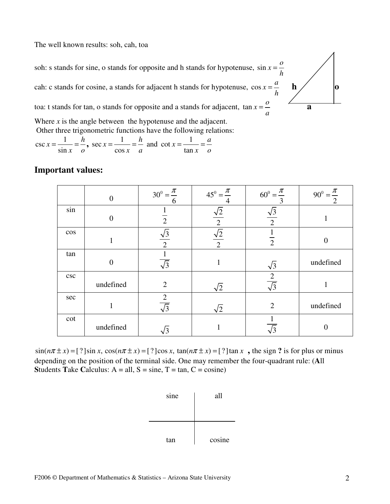The well known results: soh, cah, toa

soh: s stands for sine, o stands for opposite and h stands for hypotenuse,  $\sin x = \frac{\sigma}{\sigma}$ *h* = cah: c stands for cosine, a stands for adjacent h stands for hypotenuse,  $\cos x = \frac{a}{b}$ *h*  $=\frac{a}{b}$  h o  $\vert$ o toa: t stands for tan, o stands for opposite and a stands for adjacent,  $\tan x = \frac{0}{x}$ *a*  $=\frac{0}{-}$   $\overline{a}$ Where *x* is the angle between the hypotenuse and the adjacent.

Other three trigonometric functions have the following relations:

$$
\csc x = \frac{1}{\sin x} = \frac{h}{o}, \sec x = \frac{1}{\cos x} = \frac{h}{a} \text{ and } \cot x = \frac{1}{\tan x} = \frac{a}{o}
$$

## **Important values:**

|        | $\Omega$  | $30^0 = \frac{\pi}{4}$<br>6             | $45^{\circ} = \frac{\pi}{4}$ | $60^{\circ} = \frac{\pi}{4}$<br>3 | $90^0 = \frac{\pi}{2}$ |
|--------|-----------|-----------------------------------------|------------------------------|-----------------------------------|------------------------|
| sin    |           | $\overline{2}$                          | $\sqrt{2}$<br>$\overline{2}$ | $\sqrt{3}$<br>$\overline{2}$      |                        |
| $\cos$ |           | $\sqrt{3}$<br>$\overline{2}$            | $\sqrt{2}$<br>$\overline{2}$ | $\overline{2}$                    | $\overline{0}$         |
| tan    | $\theta$  | $\overline{\sqrt{3}}$                   |                              | $\sqrt{3}$                        | undefined              |
| csc    | undefined | $\overline{2}$                          | $\sqrt{2}$                   | $rac{2}{\sqrt{3}}$                |                        |
| sec    | 1         | $\overline{c}$<br>$\overline{\sqrt{3}}$ | $\sqrt{2}$                   | $\overline{2}$                    | undefined              |
| cot    | undefined | $\sqrt{3}$                              |                              | $\overline{\sqrt{3}}$             | $\overline{0}$         |

 $\sin(n\pi \pm x) =$  [?]sin x,  $\cos(n\pi \pm x) =$  [?]cos x,  $\tan(n\pi \pm x) =$  [?]tan x, the sign ? is for plus or minus depending on the position of the terminal side. One may remember the four-quadrant rule: (**A**ll **Students Take Calculus:**  $A = all$ ,  $S = sine$ ,  $T = tan$ ,  $C = cosine$ )